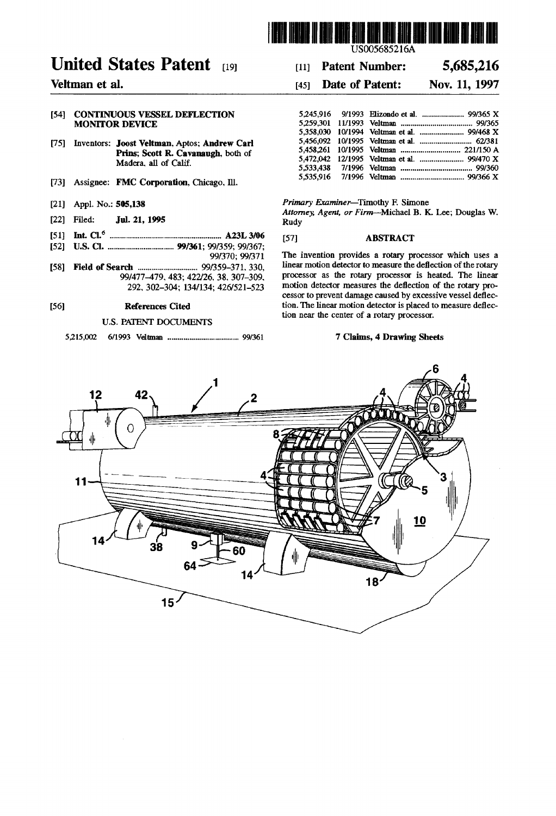

US005685216A

#### 5,685,216 **Patent Number:**  $[11]$

#### Date of Patent: Nov. 11, 1997  $[45]$

| 5,245,916 9/1993 Elizondo et al.  99/365 X |  |
|--------------------------------------------|--|
|                                            |  |
|                                            |  |
|                                            |  |
|                                            |  |
|                                            |  |
|                                            |  |
|                                            |  |

Primary Examiner-Timothy F. Simone

Attorney, Agent, or Firm-Michael B. K. Lee; Douglas W. Rudy

#### $[57]$ **ABSTRACT**

The invention provides a rotary processor which uses a linear motion detector to measure the deflection of the rotary processor as the rotary processor is heated. The linear motion detector measures the deflection of the rotary processor to prevent damage caused by excessive vessel deflection. The linear motion detector is placed to measure deflection near the center of a rotary processor.

### 7 Claims, 4 Drawing Sheets



# **United States Patent** [19]

## Veltman et al.

### [54] CONTINUOUS VESSEL DEFLECTION **MONITOR DEVICE**

- [75] Inventors: Joost Veltman, Aptos; Andrew Carl Prins; Scott R. Cavanaugh, both of Madera, all of Calif.
- [73] Assignee: FMC Corporation, Chicago, Ill.
- [21] Appl. No.: 505,138
- Jul. 21, 1995 [22] Filed:
- 
- 99/370; 99/371
- 99/477-479, 483; 422/26, 38, 307-309,

292, 302-304; 134/134; 426/521-523

#### $[56]$ **References Cited**

### **U.S. PATENT DOCUMENTS**

5,215,002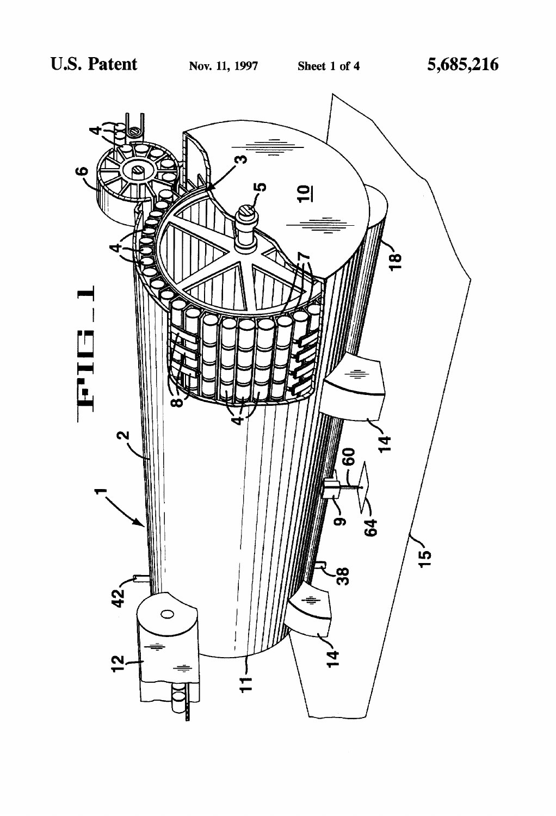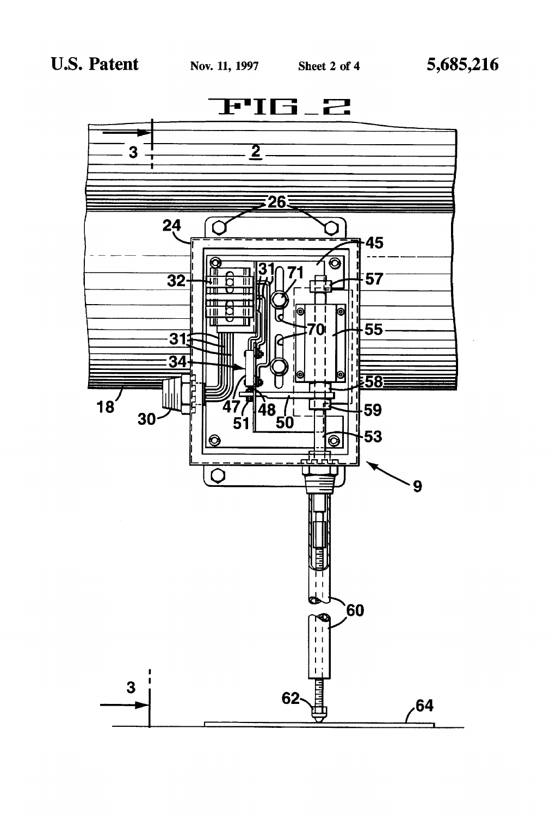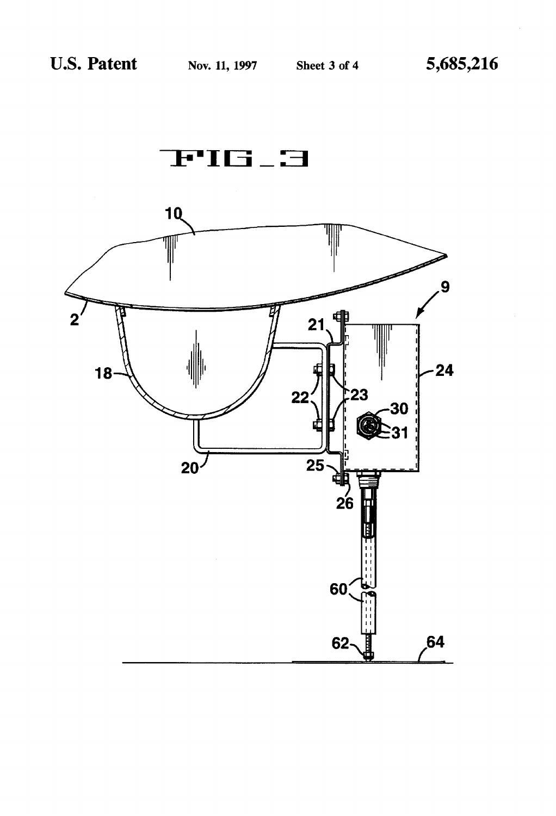

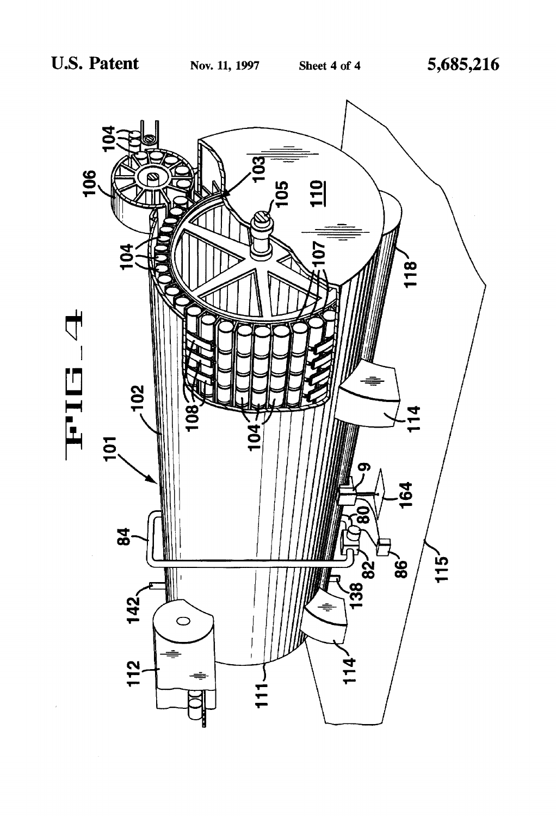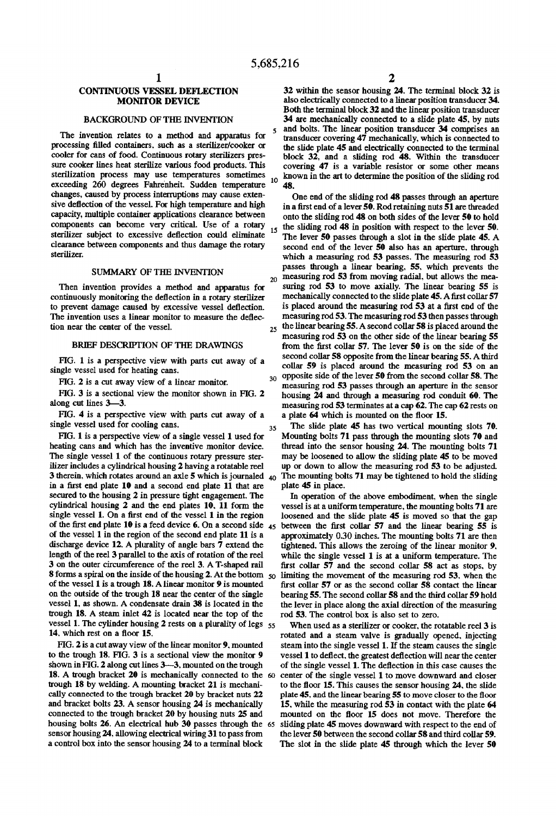20

35

### CONTINUOUS VESSEL DEFLECTION MONITOR DEVICE

### BACKGROUND OF THE INVENTION

The invention relates to a method and apparatus for processing filled containers, such as a sterilizer/cooker or cooler for cans of food. Continuous rotary sterilizers pres sure cooker lines heat sterilize various food products. This sterilization process may use temperatures sometimes exceeding 260 degrees Fahrenheit. Sudden temperature <sup>10</sup> changes, caused by process interruptions may cause exten sive deflection of the vessel. For high temperature and high capacity, multiple container applications clearance between components can become very critical. Use of a rotary sterilizer subject to excessive deflection could eliminate clearance between components and thus damage the rotary sterilizer.

### SUMMARY OF THE INVENTION

Then invention provides a method and apparatus for continuously monitoring the deflection in a rotary sterilizer to prevent damage caused by excessive vessel deflection. The invention uses a linear monitor to measure the deflection near the center of the vessel.

### BRIEF DESCRIPTION OF THE DRAWINGS

FIG. 1 is a perspective view with parts cut away of a single vessel used for heating cans.

FIG. 2 is a cut away view of a linear monitor.

FIG. 3 is a sectional view the monitor shown in FIG. 2 along cut lines 3—3.

FIG. 4 is a perspective view with parts cut away of a single vessel used for cooling cans.

FIG. 1 is a perspective view of a single vessel 1 used for heating cans and which has the inventive monitor device. The single vessel 1 of the continuous rotary pressure ster ilizer includes a cylindrical housing 2 having a rotatable reel 3 therein, which rotates around an axle 5 which is journaled  $_{40}$ in a first end plate 10 and a second end plate 11 that are secured to the housing 2 in pressure tight engagement. The cylindrical housing 2 and the end plates 10, 11 form the single vessel 1. On a first end of the vessel 1 in the region of the first end plate 10 is a feed device 6. On a second side  $_{45}$ of the vessel 1 in the region of the second end plate 11 is a discharge device 12. A plurality of angle bars 7 extend the length of the reel 3 parallel to the axis of rotation of the reel 3 on the outer circumference of the reel 3. A T-shaped rail **8** forms a spiral on the inside of the housing 2. At the bottom  $_{50}$ of the vessel 1 is a trough 18. Alinear monitor 9 is mounted on the outside of the trough 18 near the center of the single vessel 1, as shown. A condensate drain 38 is located in the trough 18. A steam inlet 42 is located near the top of the vessel 1. The cylinder housing 2 rests on a plurality of legs 55 14. which rest on a floor 15.

FIG. 2 is a cut away view of the linear monitor 9. mounted to the trough 18. FIG. 3 is a sectional view the monitor 9 shown in FIG. 2 along cut lines 3-3, mounted on the trough 18. A trough bracket 20 is mechanically connected to the 60 trough 18 by welding. A mounting bracket 21 is mechani cally connected to the trough bracket 20 by bracket nuts 22 and bracket bolts 23. A sensor housing 24 is mechanically connected to the trough bracket 20 by housing nuts 25 and housing bolts 26. An electrical hub 30 passes through the 65 sensor housing 24. allowing electrical wiring 31 to pass from a control box into the sensor housing 24 to a terminal block

32 within the sensor housing 24. The terminal block 32 is also electrically connected to a linear position transducer 34. Both the terminal block 32 and the linear position transducer 34 are mechanically connected to a slide plate 45, by nuts and bolts. The linear position transducer 34 comprises an transducer covering 47 mechanically, which is connected to the slide plate 45 and electrically connected to the terminal block 32, and a sliding rod 48. Within the transducer covering 47 is a variable resistor or some other means known in the art to determine the position of the sliding rod 48.

30 One end of the sliding rod 48 passes through an aperture in a first end of a lever 50. Rod retaining nuts 51 are threaded onto the sliding rod 48 on both sides of the lever 50 to hold the sliding rod 48 in position with respect to the lever 50. The lever 50 passes through a slot in the slide plate 45. A second end of the lever 50 also has an aperture. through which a measuring rod 53 passes. The measuring rod 53 passes through a linear bearing, 55. which prevents the measuring rod 53 from moving radial, but allows the mea suring rod 53 to move axially. The linear bearing 55 is mechanically connected to the slide plate 45. A first collar 57 is placed around the measuring rod 53 at a first end of the measuring rod 53. The measuring rod 53 then passes through  $_{25}$  the linear bearing 55. A second collar 58 is placed around the measuring rod 53 on the other side of the linear bearing 55 from the first collar  $57$ . The lever  $50$  is on the side of the second collar 58 opposite from the linear bearing 55. A third collar 59 is placed around the measuring rod 53 on an opposite side of the lever 50 from the second collar 58. The measuring rod 53 passes through an aperture in the sensor housing  $24$  and through a measuring rod conduit 60. The measuring rod 53 terminates at a cap 62. The cap 62 rests on a plate 64 which is mounted on the floor 15.

The slide plate 45 has two vertical mounting slots 70. Mounting bolts 71 pass through the mounting slots 70 and thread into the sensor housing 24. The mounting bolts 71 may be loosened to allow the sliding plate 45 to be moved up or down to allow the measuring rod 53 to be adjusted. The mounting bolts 71 may be tightened to hold the sliding plate 45 in place.

In operation of the above embodiment. when the single vessel is at a uniform temperature, the mounting bolts 71 are loosened and the slide plate 45 is moved so that the gap between the first collar  $57$  and the linear bearing  $55$  is approximately 0.30 inches. The mounting bolts 71 are then tightened. This allows the zeroing of the linear monitor 9. while the single vessel 1 is at a uniform temperature. The first collar  $57$  and the second collar  $58$  act as stops, by limiting the movement of the measuring rod 53. when the first collar  $57$  or as the second collar  $58$  contact the linear bearing 55. The second collar 58 and the third collar 59 hold the lever in place along the axial direction of the measuring rod 53. The control box is also set to zero.

When used as a sterilizer or cooker, the rotatable reel 3 is rotated and a steam valve is gradually opened. injecting steam into the single vessel 1. If the steam causes the single vessel 1 to deflect, the greatest deflection will near the center of the single vessel 1. The deflection in this case causes the center of the single vessel 1 to move downward and closer to the floor 15. This causes the sensor housing  $24$ , the slide plate 45, and the linear bearing 55 to move closer to the floor 15. while the measuring rod 53 in contact with the plate 64 mounted on the floor 15 does not move. Therefore the sliding plate 45 moves downward with respect to the end of the lever 50 between the second collar 58 and third collar 59. The slot in the slide plate 45 through which the lever 50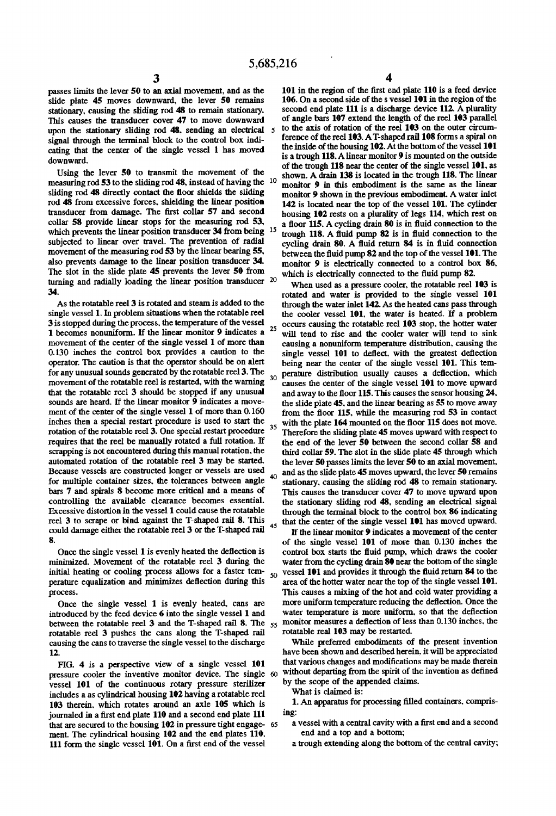passes limits the lever 50 to an axial movement. and as the slide plate 45 moves downward, the lever 50 remains stationary. causing the sliding rod 48 to remain stationary. This causes the transducer cover 47 to move downward upon the stationary sliding rod 48, sending an electrical 5 signal through the terminal block to the control box indi cating that the center of the single vessel 1 has moved downward.

Using the lever 50 to transmit the movement of the measuring rod 53 to the sliding rod 48, instead of having the 10 sliding rod 48 directly contact the floor shields the sliding rod 48 from excessive forces. shielding the linear position transducer from damage. The first collar 57 and second collar 58 provide linear stops for the measuring rod 53. which prevents the linear position transducer 34 from being 15 subjected to linear over travel. The prevention of radial movement of the measuring rod 53 by the linear bearing 55, also prevents damage to the linear position transducer 34. The slot in the slide plate 45 prevents the lever 50 from turning and radially loading the linear position transducer <sup>20</sup> 34.

As the rotatable reel 3 is rotated and steam is added to the single vessel 1. In problem situations when the rotatable reel 3 is stopped during the process. the temperature of the vessel 1 becomes nonuniform. If the linear monitor 9 indicates a movement of the center of the single vessel 1 of more than 0.130 inches the control box provides a caution to the operator. The caution is that the operator should be on alert for any unusual sounds generated by the rotatable reel 3. The movement of the rotatable reel is restarted. with the warning that the rotatable reel 3 should be stopped if any unusual sounds are heard. If the linear monitor 9 indicates a move ment of the center of the single vessel 1 of more than 0.160 inches then a special restart procedure is used to start the rotation of the rotatable reel 3. One special restart procedure requires that the reel be manually rotated a full rotation. If scrapping is not encountered during this manual rotation. the automated rotation of the rotatable reel 3 may be started Because vessels are constructed longer or vessels are used for multiple container sizes. the tolerances between angle bars 7 and spirals 8 become more critical and a means of controlling the available clearance becomes essential. Excessive distortion in the vessel 1 could cause the rotatable reel 3 to scrape or bind against the T-shaped rail 8. This could damage either the rotatable reel 3 or the T- shaped rail 8. 25 30 35

Once the single vessel 1 is evenly heated the deflection is minimized. Movement of the rotatable reel 3 during the initial heating or cooling process allows for a faster temperature equalization and minimizes deflection during this process.

Once the single vessel 1 is evenly heated. cans are introduced by the feed device 6 into the single vessel 1 and between the rotatable reel 3 and the T-shaped rail 8. The  $_{55}$ rotatable reel 3 pushes the cans along the T-shaped rail causing the cans to traverse the single vessel to the discharge 12.

FIG. 4 is a perspective view of a single vessel 101 pressure cooler the inventive monitor device. The single vessel 101 of the continuous rotary pressure sterilizer includes a as cylindrical housing 102 having a rotatable reel 103 therein. which rotates around an axle 105 which is journaled in a first end plate 110 and a second end plate 111 that are secured to the housing 102 in pressure tight engage- 65 ment. The cylindrical housing 102 and the end plates 110. 111 form the single vessel 101. On a first end of the vessel

101 in the region of the first end plate 110 is a feed device 106. On a second side of the s vessel 101 in the region of the second end plate 111 is a discharge device 112. A plurality of angle bars 107 extend the length of the reel 103 parallel to the axis of rotation of the reel 103 on the outer circum-<br>ference of the reel 103. A T-shaped rail 108 forms a spiral on the inside of the housing 102. At the bottom of the vessel 101 is a trough 118. A linear monitor 9 is mounted on the outside of the trough 118 near the center of the single vessel 101, as shown. A drain 138 is located in the trough 118. The linear monitor 9 in this embodiment is the same as the linear monitor 9 shown in the previous embodiment. A water inlet 142 is located near the top of the vessel 101. The cylinder housing 102 rests on a plurality of legs 114. which rest on a floor  $115$ . A cycling drain 80 is in fluid connection to the trough  $118$ . A fluid pump  $82$  is in fluid connection to the cycling drain 80. A fluid return 84 is in fluid connection between the fluid pump 82 and the top of the vessel 101. The monitor 9 is electrically connected to a control box 86. which is electrically connected to the fluid pump 82.

When used as a pressure cooler. the rotatable reel 103 is rotated and water is provided to the single vessel 101 through the water inlet 142. As the heated cans pass through the cooler vessel 101. the water is heated. If a problem occurs causing the rotatable reel 103 stop. the hotter water will tend to rise and the cooler water will tend to sink causing a nonuniform temperature distribution. causing the single vessel 101 to deflect. with the greatest deflection being near the center of the single vessel 101. This tem perature distribution usually causes a deflection, which causes the center of the single vessel 101 to move upward and away to the floor 115. This causes the sensor housing 24. the slide plate 45. and the linear bearing as 55 to move away from the floor 115, while the measuring rod  $53$  in contact with the plate 164 mounted on the floor 115 does not move. Therefore the sliding plate 45 moves upward with respect to the end of the lever 50 between the second collar 58 and third collar 59. The slot in the slide plate 45 through which the lever 50 passes limits the lever 50 to an axial movement. and as the slide plate 45 moves upward. the lever 50 remains stationary. causing the sliding rod 48 to remain stationary. This causes the transducer cover 47 to move upward upon the stationary sliding rod 48. sending an electrical signal through the terminal block to the control box 86 indicating that the center of the single vessel 101 has moved upward.

If the linear monitor 9 indicates a movement of the center of the single vessel 101 of more than 0.130 inches the control box starts the fluid pump, which draws the cooler water from the cycling drain 80 near the bottom of the single vessel 101 and provides it through the fluid return 84 to the area of the hotter water near the top of the single vessel 101. This causes a mixing of the hot and cold water providing a more uniform temperature reducing the deflection. Once the water temperature is more uniform, so that the deflection monitor measures a deflection of less than 0.130 inches, the rotatable real 103 may be restarted

While preferred embodiments of the present invention have been shown and described herein. it will be appreciated that various changes and modifications may be made therein without departing from the spirit of the invention as defined by the scope of the appended claims.

What is claimed is:

45

50

1. An apparatus for processing filled containers, comprising:

- a vessel with a central cavity with a first end and a second end and a top and a bottom;
- a trough extending along the bottom of the central cavity;